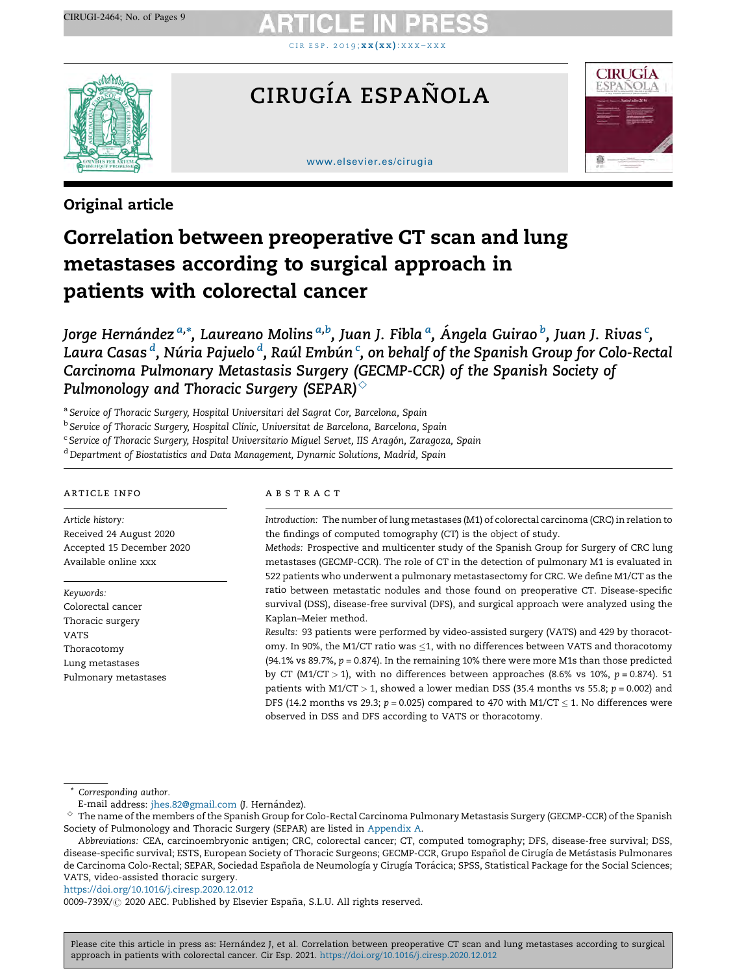CIR ESP. [2](https://doi.org/10.1016/j.ciresp.2020.12.012)0[1](https://doi.org/10.1016/j.ciresp.2020.12.012)9;  $\mathbf{xx}(\mathbf{x}\mathbf{x})$  $\mathbf{xx}(\mathbf{x}\mathbf{x})$  $\mathbf{xx}(\mathbf{x}\mathbf{x})$ :  $\mathbf{x}\mathbf{x}\mathbf{x} - \mathbf{x}\mathbf{x}\mathbf{x}$ 



# CIRUGÍA ESPAÑOLA

### [www.elsevier.es/cirugia](http://www.elsevier.es/cirugia)



# Original article

# Correlation between preoperative CT scan and lung metastases according to surgical approach in patients with colorectal cancer

Jorge Hernández <sup>a,</sup>\*, Laureano Molins <sup>a,b</sup>, Juan J. Fibla <sup>a</sup>, Ángela Guirao <sup>b</sup>, Juan J. Rivas <sup>c</sup>, Laura Casas <sup>d</sup>, Núria Pajuelo <sup>d</sup>, Raúl Embún <sup>c</sup>, on behalf of the Spanish Group for Colo-Rectal Carcinoma Pulmonary Metastasis Surgery (GECMP-CCR) of the Spanish Society of Pulmonology and Thoracic Surgery (SEPAR) $^\diamond$ 

<sup>a</sup> Service of Thoracic Surgery, Hospital Universitari del Sagrat Cor, Barcelona, Spain

<sup>b</sup> Service of Thoracic Surgery, Hospital Clínic, Universitat de Barcelona, Barcelona, Spain

<sup>c</sup> Service of Thoracic Surgery, Hospital Universitario Miquel Servet, IIS Aragón, Zaragoza, Spain

<sup>d</sup> Department of Biostatistics and Data Management, Dynamic Solutions, Madrid, Spain

### article info

Article history: Received 24 August 2020 Accepted 15 December 2020 Available online xxx

Keywords: Colorectal cancer Thoracic surgery VATS Thoracotomy Lung metastases Pulmonary metastases

### a b s t r a c t

Introduction: The number oflung metastases (M1) of colorectal carcinoma (CRC) in relation to the findings of computed tomography (CT) is the object of study.

Methods: Prospective and multicenter study of the Spanish Group for Surgery of CRC lung metastases (GECMP-CCR). The role of CT in the detection of pulmonary M1 is evaluated in 522 patients who underwent a pulmonary metastasectomy for CRC. We define M1/CT as the ratio between metastatic nodules and those found on preoperative CT. Disease-specific survival (DSS), disease-free survival (DFS), and surgical approach were analyzed using the Kaplan–Meier method.

Results: 93 patients were performed by video-assisted surgery (VATS) and 429 by thoracotomy. In 90%, the M1/CT ratio was  $\leq$ 1, with no differences between VATS and thoracotomy (94.1% vs 89.7%,  $p = 0.874$ ). In the remaining 10% there were more M1s than those predicted by CT (M1/CT > 1), with no differences between approaches (8.6% vs 10%,  $p = 0.874$ ). 51 patients with M1/CT > 1, showed a lower median DSS (35.4 months vs 55.8;  $p = 0.002$ ) and DFS (14.2 months vs 29.3;  $p$  = 0.025) compared to 470 with M1/CT  $\leq$  1. No differences were observed in DSS and DFS according to VATS or thoracotomy.

\* Corresponding author.

<https://doi.org/10.1016/j.ciresp.2020.12.012>

0009-739X/ 2020 AEC. Published by Elsevier España, S.L.U. All rights reserved.

E-mail address: [jhes.82@gmail.com](mailto:jhes.82@gmail.com) (J. Hernández).

 $^\circ~$  The name of the members of the Spanish Group for Colo-Rectal Carcinoma Pulmonary Metastasis Surgery (GECMP-CCR) of the Spanish Society of Pulmonology and Thoracic Surgery (SEPAR) are listed in [Appendix](#page-6-0) A.

Abbreviations: CEA, carcinoembryonic antigen; CRC, colorectal cancer; CT, computed tomography; DFS, disease-free survival; DSS, disease-specific survival; ESTS, European Society of Thoracic Surgeons; GECMP-CCR, Grupo Español de Cirugía de Metástasis Pulmonares de Carcinoma Colo-Rectal; SEPAR, Sociedad Española de Neumología y Cirugía Torácica; SPSS, Statistical Package for the Social Sciences; VATS, video-assisted thoracic surgery.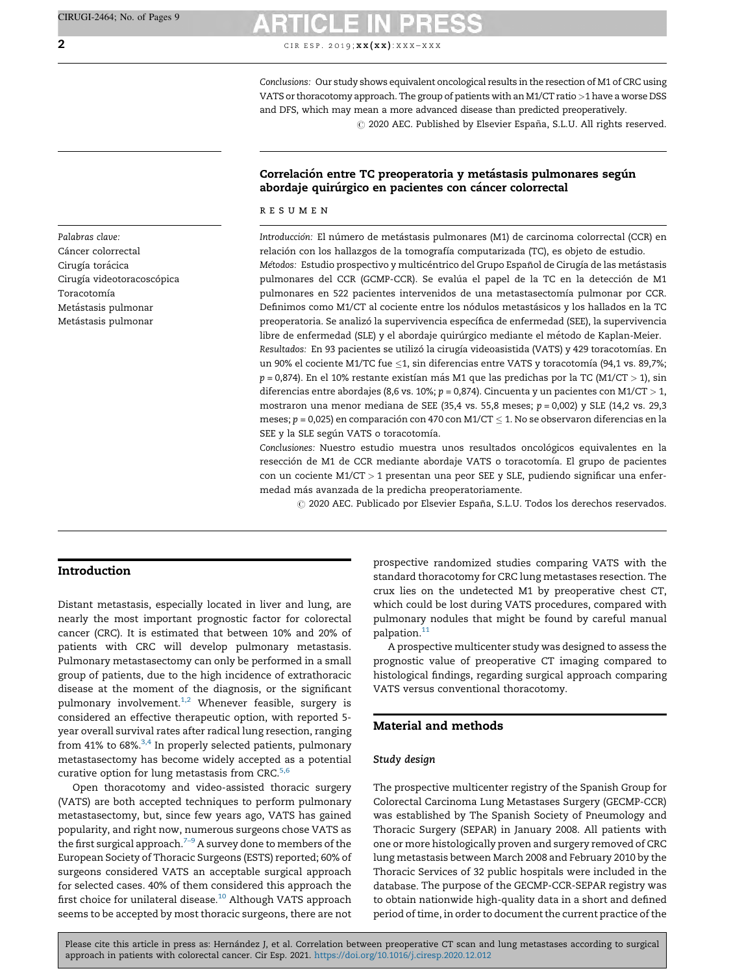2 CIR ESP. 2019;  $\mathbf{x} \times (\mathbf{x} \times \mathbf{x}) : \mathbf{X} \times \mathbf{X} - \mathbf{X} \times \mathbf{X}$ 

Conclusions: Our study shows equivalent oncological results in the resection of M1 of CRC using VATS or thoracotomy approach. The group of patients with an M1/CT ratio >1 have a worse DSS and DFS, which may mean a more advanced disease than predicted preoperatively.

 $\odot$  2020 AEC. Published by Elsevier España, S.L.U. All rights reserved.

# Correlación entre TC preoperatoria y metástasis pulmonares según abordaje quirúrgico en pacientes con cáncer colorrectal

### r e s u m e n

Introducción: El número de metástasis pulmonares (M1) de carcinoma colorrectal (CCR) en relación con los hallazgos de la tomografía computarizada (TC), es objeto de estudio. Métodos: Estudio prospectivo y multicéntrico del Grupo Español de Cirugía de las metástasis pulmonares del CCR (GCMP-CCR). Se evalúa el papel de la TC en la detección de M1 pulmonares en 522 pacientes intervenidos de una metastasectomía pulmonar por CCR. Definimos como M1/CT al cociente entre los nódulos metastásicos y los hallados en la TC preoperatoria. Se analizó la supervivencia específica de enfermedad (SEE), la supervivencia libre de enfermedad (SLE) y el abordaje quirúrgico mediante el método de Kaplan-Meier. Resultados: En 93 pacientes se utilizó la cirugía videoasistida (VATS) y 429 toracotomías. En un 90% el cociente M1/TC fue  ${\leq}1,$  sin diferencias entre VATS y toracotomía (94,1 vs. 89,7%;  $p = 0,874$ ). En el 10% restante existían más M1 que las predichas por la TC (M1/CT > 1), sin diferencias entre abordajes (8,6 vs. 10%;  $p = 0,874$ ). Cincuenta y un pacientes con M1/CT > 1, mostraron una menor mediana de SEE (35,4 vs. 55,8 meses;  $p = 0,002$ ) y SLE (14,2 vs. 29,3 meses; p = 0,025) en comparación con 470 con M1/CT  $\leq$  1. No se observaron diferencias en la SEE y la SLE según VATS o toracotomía.

Conclusiones: Nuestro estudio muestra unos resultados oncológicos equivalentes en la resección de M1 de CCR mediante abordaje VATS o toracotomía. El grupo de pacientes con un cociente M1/CT > 1 presentan una peor SEE y SLE, pudiendo significar una enfermedad más avanzada de la predicha preoperatoriamente.

 $\odot$  2020 AEC. Publicado por Elsevier España, S.L.U. Todos los derechos reservados.

# Introduction

Distant metastasis, especially located in liver and lung, are nearly the most important prognostic factor for colorectal cancer (CRC). It is estimated that between 10% and 20% of patients with CRC will develop pulmonary metastasis. Pulmonary metastasectomy can only be performed in a small group of patients, due to the high incidence of extrathoracic disease at the moment of the diagnosis, or the significant pulmonary involvement.<sup>1,2</sup> Whenever feasible, surgery is considered an effective therapeutic option, with reported 5 year overall survival rates after radical lung resection, ranging from 41% to 68%. $3,4$  In properly selected patients, pulmonary metastasectomy has become widely accepted as a potential curative option for lung metastasis from CRC. $5,6$ 

Open thoracotomy and video-assisted thoracic surgery (VATS) are both accepted techniques to perform pulmonary metastasectomy, but, since few years ago, VATS has gained popularity, and right now, numerous surgeons chose VATS as the first surgical approach.<sup>7-9</sup> A survey done to members of the European Society of Thoracic Surgeons (ESTS) reported; 60% of surgeons considered VATS an acceptable surgical approach for selected cases. 40% of them considered this approach the first choice for unilateral disease.<sup>[10](#page-7-0)</sup> Although VATS approach seems to be accepted by most thoracic surgeons, there are not prospective randomized studies comparing VATS with the standard thoracotomy for CRC lung metastases resection. The crux lies on the undetected M1 by preoperative chest CT, which could be lost during VATS procedures, compared with pulmonary nodules that might be found by careful manual palpation.[11](#page-7-0)

A prospective multicenter study was designed to assess the prognostic value of preoperative CT imaging compared to histological findings, regarding surgical approach comparing VATS versus conventional thoracotomy.

# Material and methods

## Study design

The prospective multicenter registry of the Spanish Group for Colorectal Carcinoma Lung Metastases Surgery (GECMP-CCR) was established by The Spanish Society of Pneumology and Thoracic Surgery (SEPAR) in January 2008. All patients with one or more histologically proven and surgery removed of CRC lung metastasis between March 2008 and February 2010 by the Thoracic Services of 32 public hospitals were included in the database. The purpose of the GECMP-CCR-SEPAR registry was to obtain nationwide high-quality data in a short and defined period of time, in order to document the current practice of the

Please cite this article in press as: Hernández J, et al. Correlation between preoperative CT scan and lung metastases according to surgical approach in patients with colorectal cancer. Cir Esp. 2021. <https://doi.org/10.1016/j.ciresp.2020.12.012>

Palabras clave: Cáncer colorrectal Cirugía torácica Cirugía videotoracoscópica **Toracotomía** Metástasis pulmonar Metástasis pulmonar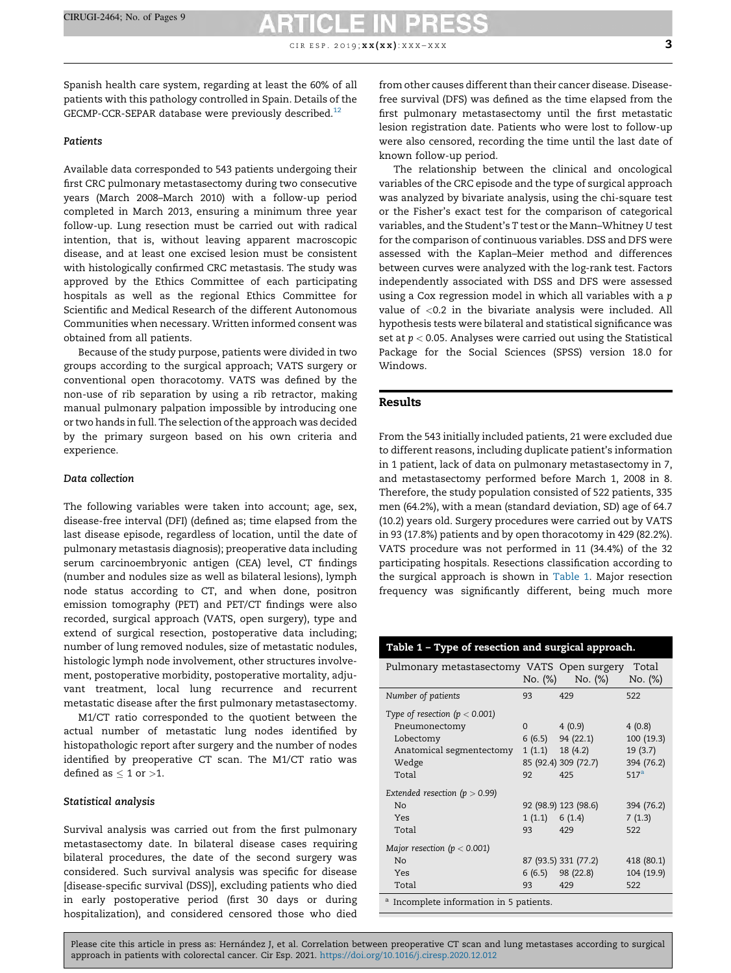CIR ESP. 2019;  $\mathbf{x} \mathbf{x} (\mathbf{x} \mathbf{x})$ :  $\mathbf{x} \mathbf{x} \mathbf{x} - \mathbf{x} \mathbf{x} \mathbf{x}$  3

### Patients

Available data corresponded to 543 patients undergoing their first CRC pulmonary metastasectomy during two consecutive years (March 2008–March 2010) with a follow-up period completed in March 2013, ensuring a minimum three year follow-up. Lung resection must be carried out with radical intention, that is, without leaving apparent macroscopic disease, and at least one excised lesion must be consistent with histologically confirmed CRC metastasis. The study was approved by the Ethics Committee of each participating hospitals as well as the regional Ethics Committee for Scientific and Medical Research of the different Autonomous Communities when necessary. Written informed consent was obtained from all patients.

Because of the study purpose, patients were divided in two groups according to the surgical approach; VATS surgery or conventional open thoracotomy. VATS was defined by the non-use of rib separation by using a rib retractor, making manual pulmonary palpation impossible by introducing one or two hands in full. The selection of the approach was decided by the primary surgeon based on his own criteria and experience.

### Data collection

The following variables were taken into account; age, sex, disease-free interval (DFI) (defined as; time elapsed from the last disease episode, regardless of location, until the date of pulmonary metastasis diagnosis); preoperative data including serum carcinoembryonic antigen (CEA) level, CT findings (number and nodules size as well as bilateral lesions), lymph node status according to CT, and when done, positron emission tomography (PET) and PET/CT findings were also recorded, surgical approach (VATS, open surgery), type and extend of surgical resection, postoperative data including; number of lung removed nodules, size of metastatic nodules, histologic lymph node involvement, other structures involvement, postoperative morbidity, postoperative mortality, adjuvant treatment, local lung recurrence and recurrent metastatic disease after the first pulmonary metastasectomy.

M1/CT ratio corresponded to the quotient between the actual number of metastatic lung nodes identified by histopathologic report after surgery and the number of nodes identified by preoperative CT scan. The M1/CT ratio was defined as  $\leq$  1 or  $>$ 1.

### Statistical analysis

Survival analysis was carried out from the first pulmonary metastasectomy date. In bilateral disease cases requiring bilateral procedures, the date of the second surgery was considered. Such survival analysis was specific for disease [disease-specific survival (DSS)], excluding patients who died in early postoperative period (first 30 days or during hospitalization), and considered censored those who died

from other causes different than their cancer disease. Diseasefree survival (DFS) was defined as the time elapsed from the first pulmonary metastasectomy until the first metastatic lesion registration date. Patients who were lost to follow-up were also censored, recording the time until the last date of known follow-up period.

The relationship between the clinical and oncological variables of the CRC episode and the type of surgical approach was analyzed by bivariate analysis, using the chi-square test or the Fisher's exact test for the comparison of categorical variables, and the Student's T test or the Mann–Whitney U test for the comparison of continuous variables. DSS and DFS were assessed with the Kaplan–Meier method and differences between curves were analyzed with the log-rank test. Factors independently associated with DSS and DFS were assessed using a Cox regression model in which all variables with a p value of <0.2 in the bivariate analysis were included. All hypothesis tests were bilateral and statistical significance was set at  $p < 0.05$ . Analyses were carried out using the Statistical Package for the Social Sciences (SPSS) version 18.0 for Windows.

### Results

From the 543 initially included patients, 21 were excluded due to different reasons, including duplicate patient's information in 1 patient, lack of data on pulmonary metastasectomy in 7, and metastasectomy performed before March 1, 2008 in 8. Therefore, the study population consisted of 522 patients, 335 men (64.2%), with a mean (standard deviation, SD) age of 64.7 (10.2) years old. Surgery procedures were carried out by VATS in 93 (17.8%) patients and by open thoracotomy in 429 (82.2%). VATS procedure was not performed in 11 (34.4%) of the 32 participating hospitals. Resections classification according to the surgical approach is shown in Table 1. Major resection frequency was significantly different, being much more

# Table 1 – Type of resection and surgical approach.

| Pulmonary metastasectomy VATS Open surgery | No. (%)       | $No.$ $(\%)$         | Total<br>No. (%) |
|--------------------------------------------|---------------|----------------------|------------------|
| Number of patients                         | 93            | 429                  | 522              |
| Type of resection ( $p < 0.001$ )          |               |                      |                  |
| Pneumonectomy                              | $\Omega$      | 4(0.9)               | 4(0.8)           |
| Lobectomy                                  |               | $6(6.5)$ 94 (22.1)   | 100 (19.3)       |
| Anatomical segmentectomy                   | 1(1.1)        | 18(4.2)              | 19(3.7)          |
| Wedge                                      |               | 85 (92.4) 309 (72.7) | 394 (76.2)       |
| Total                                      | 92            | 425                  | 517 <sup>a</sup> |
| Extended resection ( $p > 0.99$ )          |               |                      |                  |
| N <sub>o</sub>                             |               | 92 (98.9) 123 (98.6) | 394 (76.2)       |
| Yes                                        | 1(1.1) 6(1.4) |                      | 7(1.3)           |
| Total                                      | 93            | 429                  | 522              |
| Major resection ( $p < 0.001$ )            |               |                      |                  |
| N <sub>o</sub>                             |               | 87 (93.5) 331 (77.2) | 418 (80.1)       |
| Yes                                        |               | $6(6.5)$ 98 (22.8)   | 104 (19.9)       |
| Total                                      | 93            | 429                  | 522              |
|                                            |               |                      |                  |

<sup>a</sup> Incomplete information in 5 patients.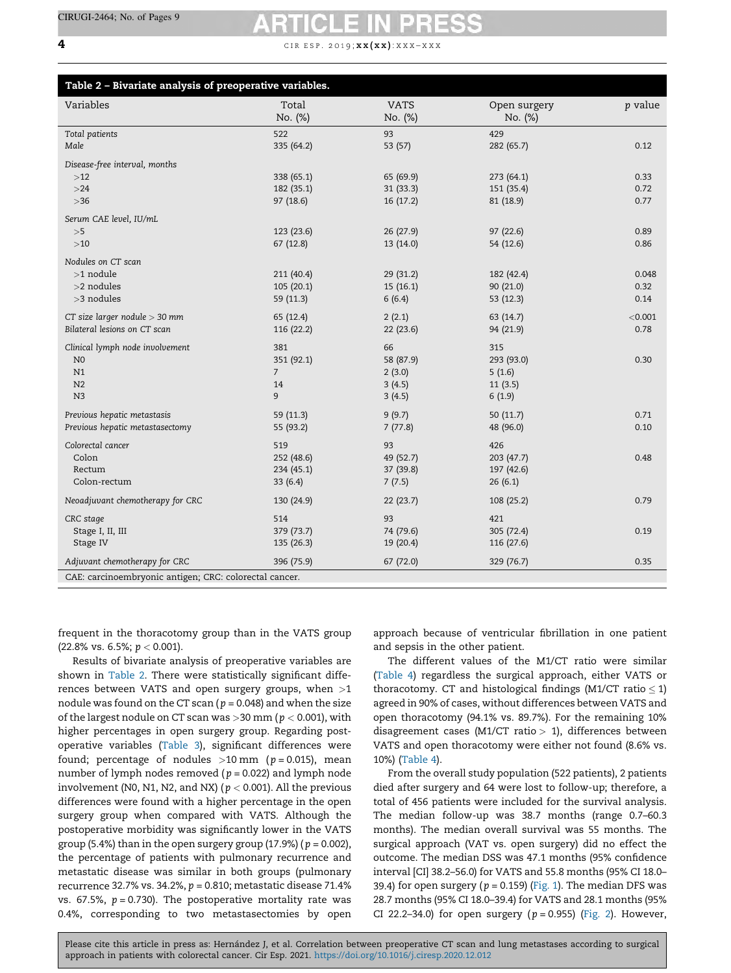### **4** c ir e s p . 2019;  $x \times (xx) : X \times X \rightarrow X \times X$

| Table 2 - Bivariate analysis of preoperative variables. |                  |                        |                         |         |  |
|---------------------------------------------------------|------------------|------------------------|-------------------------|---------|--|
| Variables                                               | Total<br>No. (%) | <b>VATS</b><br>No. (%) | Open surgery<br>No. (%) | p value |  |
| Total patients                                          | 522              | 93                     | 429                     |         |  |
| Male                                                    | 335 (64.2)       | 53 (57)                | 282 (65.7)              | 0.12    |  |
| Disease-free interval, months                           |                  |                        |                         |         |  |
| $>12$                                                   | 338 (65.1)       | 65 (69.9)              | 273(64.1)               | 0.33    |  |
| >24                                                     | 182 (35.1)       | 31 (33.3)              | 151 (35.4)              | 0.72    |  |
| $>36$                                                   | 97 (18.6)        | 16 (17.2)              | 81 (18.9)               | 0.77    |  |
| Serum CAE level, IU/mL                                  |                  |                        |                         |         |  |
| $>\!5$                                                  | 123 (23.6)       | 26 (27.9)              | 97 (22.6)               | 0.89    |  |
| $>10$                                                   | 67(12.8)         | 13 (14.0)              | 54 (12.6)               | 0.86    |  |
| Nodules on CT scan                                      |                  |                        |                         |         |  |
| $>1$ nodule                                             | 211 (40.4)       | 29(31.2)               | 182 (42.4)              | 0.048   |  |
| >2 nodules                                              | 105(20.1)        | 15(16.1)               | 90 (21.0)               | 0.32    |  |
| >3 nodules                                              | 59 (11.3)        | 6(6.4)                 | 53 (12.3)               | 0.14    |  |
| CT size larger nodule $>$ 30 mm                         | 65 (12.4)        | 2(2.1)                 | 63 (14.7)               | < 0.001 |  |
| Bilateral lesions on CT scan                            | 116 (22.2)       | 22(23.6)               | 94 (21.9)               | 0.78    |  |
| Clinical lymph node involvement                         | 381              | 66                     | 315                     |         |  |
| N <sub>0</sub>                                          | 351 (92.1)       | 58 (87.9)              | 293 (93.0)              | 0.30    |  |
| N1                                                      | $\overline{7}$   | 2(3.0)                 | 5(1.6)                  |         |  |
| N <sub>2</sub>                                          | 14               | 3(4.5)                 | 11(3.5)                 |         |  |
| N <sub>3</sub>                                          | 9                | 3(4.5)                 | 6(1.9)                  |         |  |
| Previous hepatic metastasis                             | 59 (11.3)        | 9(9.7)                 | 50(11.7)                | 0.71    |  |
| Previous hepatic metastasectomy                         | 55 (93.2)        | 7(77.8)                | 48 (96.0)               | 0.10    |  |
| Colorectal cancer                                       | 519              | 93                     | 426                     |         |  |
| Colon                                                   | 252 (48.6)       | 49 (52.7)              | 203 (47.7)              | 0.48    |  |
| Rectum                                                  | 234(45.1)        | 37 (39.8)              | 197 (42.6)              |         |  |
| Colon-rectum                                            | 33(6.4)          | 7(7.5)                 | 26(6.1)                 |         |  |
| Neoadjuvant chemotherapy for CRC                        | 130 (24.9)       | 22(23.7)               | 108 (25.2)              | 0.79    |  |
| CRC stage                                               | 514              | 93                     | 421                     |         |  |
| Stage I, II, III                                        | 379 (73.7)       | 74 (79.6)              | 305 (72.4)              | 0.19    |  |
| Stage IV                                                | 135 (26.3)       | 19 (20.4)              | 116 (27.6)              |         |  |
| Adjuvant chemotherapy for CRC                           | 396 (75.9)       | 67(72.0)               | 329 (76.7)              | 0.35    |  |
| CAE: carcinoembryonic antigen: CRC: colorectal cancer.  |                  |                        |                         |         |  |

CAE: carcinoembryonic antigen; CRC: colorectal cancer.

frequent in the thoracotomy group than in the VATS group (22.8% vs. 6.5%;  $p < 0.001$ ).

Results of bivariate analysis of preoperative variables are shown in Table 2. There were statistically significant differences between VATS and open surgery groups, when  $>1$ nodule was found on the CT scan ( $p = 0.048$ ) and when the size of the largest nodule on CT scan was  $>$  30 mm ( $p < 0.001$ ), with higher percentages in open surgery group. Regarding postoperative variables ([Table](#page-4-0) 3), significant differences were found; percentage of nodules  $>10$  mm ( $p = 0.015$ ), mean number of lymph nodes removed ( $p = 0.022$ ) and lymph node involvement (N0, N1, N2, and NX) ( $p < 0.001$ ). All the previous differences were found with a higher percentage in the open surgery group when compared with VATS. Although the postoperative morbidity was significantly lower in the VATS group (5.4%) than in the open surgery group (17.9%) ( $p = 0.002$ ), the percentage of patients with pulmonary recurrence and metastatic disease was similar in both groups (pulmonary recurrence 32.7% vs. 34.2%,  $p = 0.810$ ; metastatic disease 71.4% vs. 67.5%,  $p = 0.730$ ). The postoperative mortality rate was 0.4%, corresponding to two metastasectomies by open

approach because of ventricular fibrillation in one patient and sepsis in the other patient.

The different values of the M1/CT ratio were similar ([Table](#page-4-0) 4) regardless the surgical approach, either VATS or thoracotomy. CT and histological findings (M1/CT ratio  $\leq$  1) agreed in 90% of cases, without differences between VATS and open thoracotomy (94.1% vs. 89.7%). For the remaining 10% disagreement cases (M1/CT ratio  $> 1$ ), differences between VATS and open thoracotomy were either not found (8.6% vs. 10%) [\(Table](#page-4-0) 4).

From the overall study population (522 patients), 2 patients died after surgery and 64 were lost to follow-up; therefore, a total of 456 patients were included for the survival analysis. The median follow-up was 38.7 months (range 0.7–60.3 months). The median overall survival was 55 months. The surgical approach (VAT vs. open surgery) did no effect the outcome. The median DSS was 47.1 months (95% confidence interval [CI] 38.2–56.0) for VATS and 55.8 months (95% CI 18.0– 39.4) for open surgery ( $p = 0.159$ ) ([Fig.](#page-4-0) 1). The median DFS was 28.7 months (95% CI 18.0–39.4) for VATS and 28.1 months (95% CI 22.2–34.0) for open surgery ( $p = 0.955$ ) ([Fig.](#page-5-0) 2). However,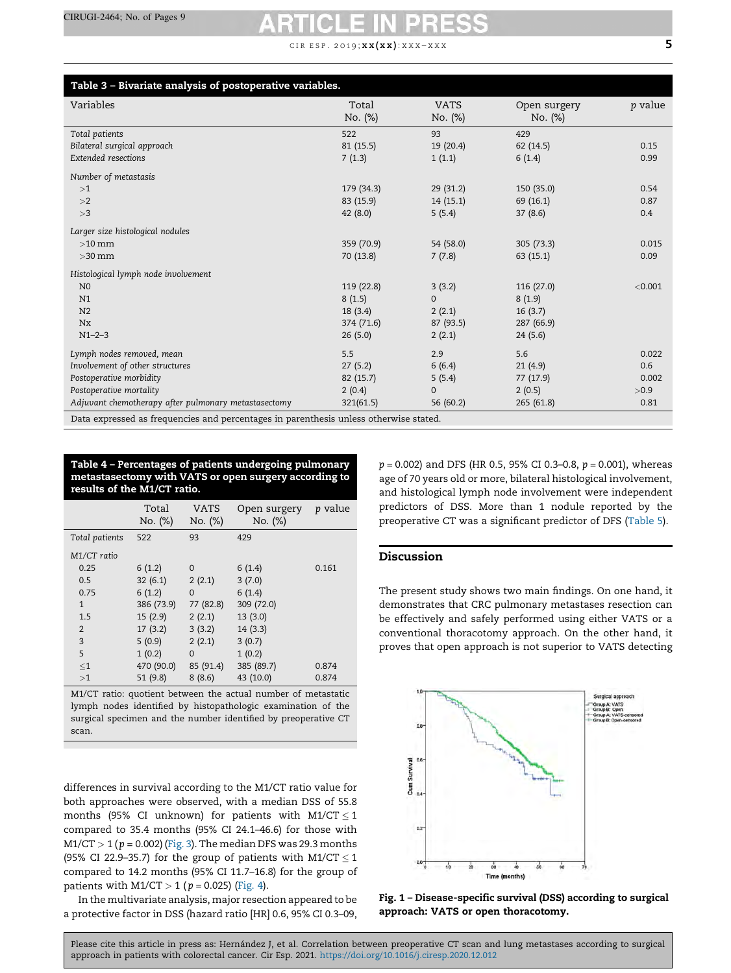## CIR ESP. 2019;  $\mathbf{x} \mathbf{x} (\mathbf{x} \mathbf{x})$ :  $\mathbf{x} \mathbf{x} \mathbf{x} - \mathbf{x} \mathbf{x} \mathbf{x}$  5

<span id="page-4-0"></span>

| Table 3 - Bivariate analysis of postoperative variables.                              |                  |                        |                         |                |
|---------------------------------------------------------------------------------------|------------------|------------------------|-------------------------|----------------|
| Variables                                                                             | Total<br>No. (%) | <b>VATS</b><br>No. (%) | Open surgery<br>No. (%) | <i>p</i> value |
| Total patients                                                                        | 522              | 93                     | 429                     |                |
| Bilateral surgical approach                                                           | 81(15.5)         | 19(20.4)               | 62(14.5)                | 0.15           |
| Extended resections                                                                   | 7(1.3)           | 1(1.1)                 | 6(1.4)                  | 0.99           |
| Number of metastasis                                                                  |                  |                        |                         |                |
| >1                                                                                    | 179 (34.3)       | 29(31.2)               | 150 (35.0)              | 0.54           |
| >2                                                                                    | 83 (15.9)        | 14(15.1)               | 69 (16.1)               | 0.87           |
| >3                                                                                    | 42(8.0)          | 5(5.4)                 | 37(8.6)                 | 0.4            |
| Larger size histological nodules                                                      |                  |                        |                         |                |
| $>10$ mm                                                                              | 359 (70.9)       | 54 (58.0)              | 305(73.3)               | 0.015          |
| $>$ 30 mm                                                                             | 70 (13.8)        | 7(7.8)                 | 63(15.1)                | 0.09           |
| Histological lymph node involvement                                                   |                  |                        |                         |                |
| N <sub>0</sub>                                                                        | 119 (22.8)       | 3(3.2)                 | 116(27.0)               | < 0.001        |
| N1                                                                                    | 8(1.5)           | $\mathbf{O}$           | 8(1.9)                  |                |
| N <sub>2</sub>                                                                        | 18(3.4)          | 2(2.1)                 | 16(3.7)                 |                |
| Nx                                                                                    | 374 (71.6)       | 87 (93.5)              | 287 (66.9)              |                |
| $N1 - 2 - 3$                                                                          | 26(5.0)          | 2(2.1)                 | 24(5.6)                 |                |
| Lymph nodes removed, mean                                                             | 5.5              | 2.9                    | 5.6                     | 0.022          |
| Involvement of other structures                                                       | 27(5.2)          | 6(6.4)                 | 21(4.9)                 | 0.6            |
| Postoperative morbidity                                                               | 82 (15.7)        | 5(5.4)                 | 77 (17.9)               | 0.002          |
| Postoperative mortality                                                               | 2(0.4)           | $\mathbf{0}$           | 2(0.5)                  | >0.9           |
| Adjuvant chemotherapy after pulmonary metastasectomy                                  | 321(61.5)        | 56 (60.2)              | 265(61.8)               | 0.81           |
| Data expressed as frequencies and percentages in parenthesis unless otherwise stated. |                  |                        |                         |                |

Table 4 – Percentages of patients undergoing pulmonary metastasectomy with VATS or open surgery according to results of the M1/CT ratio.

|                | Total<br>No. (%) | VATS<br>No. (%) | Open surgery<br>No. (%) | <i>p</i> value |
|----------------|------------------|-----------------|-------------------------|----------------|
| Total patients | 522              | 93              | 429                     |                |
| M1/CT ratio    |                  |                 |                         |                |
| 0.25           | 6(1.2)           | $\Omega$        | 6(1.4)                  | 0.161          |
| 0.5            | 32(6.1)          | 2(2.1)          | 3(7.0)                  |                |
| 0.75           | 6(1.2)           | $\Omega$        | 6(1.4)                  |                |
| $\mathbf{1}$   | 386 (73.9)       | 77 (82.8)       | 309 (72.0)              |                |
| 1.5            | 15 (2.9)         | 2(2.1)          | 13 (3.0)                |                |
| $\overline{2}$ | 17(3.2)          | 3(3.2)          | 14(3.3)                 |                |
| 3              | 5(0.9)           | 2(2.1)          | 3(0.7)                  |                |
| 5              | 1(0.2)           | $\Omega$        | 1(0.2)                  |                |
| $\leq1$        | 470 (90.0)       | 85 (91.4)       | 385 (89.7)              | 0.874          |
| >1             | 51 (9.8)         | 8(8.6)          | 43 (10.0)               | 0.874          |

M1/CT ratio: quotient between the actual number of metastatic lymph nodes identified by histopathologic examination of the surgical specimen and the number identified by preoperative CT scan.

differences in survival according to the M1/CT ratio value for both approaches were observed, with a median DSS of 55.8 months (95% CI unknown) for patients with M1/CT  $\leq$  1 compared to 35.4 months (95% CI 24.1–46.6) for those with  $M1/CT > 1$  ( $p = 0.002$ ) ([Fig.](#page-5-0) 3). The median DFS was 29.3 months (95% CI 22.9–35.7) for the group of patients with M1/CT  $\leq$  1 compared to 14.2 months (95% CI 11.7–16.8) for the group of patients with M1/CT > 1 ( $p = 0.025$ ) ([Fig.](#page-5-0) 4).

In the multivariate analysis, major resection appeared to be a protective factor in DSS (hazard ratio [HR] 0.6, 95% CI 0.3–09,  $p = 0.002$ ) and DFS (HR 0.5, 95% CI 0.3-0.8,  $p = 0.001$ ), whereas age of 70 years old or more, bilateral histological involvement, and histological lymph node involvement were independent predictors of DSS. More than 1 nodule reported by the preoperative CT was a significant predictor of DFS ([Table](#page-6-0) 5).

## Discussion

The present study shows two main findings. On one hand, it demonstrates that CRC pulmonary metastases resection can be effectively and safely performed using either VATS or a conventional thoracotomy approach. On the other hand, it proves that open approach is not superior to VATS detecting



Fig. 1 – Disease-specific survival (DSS) according to surgical approach: VATS or open thoracotomy.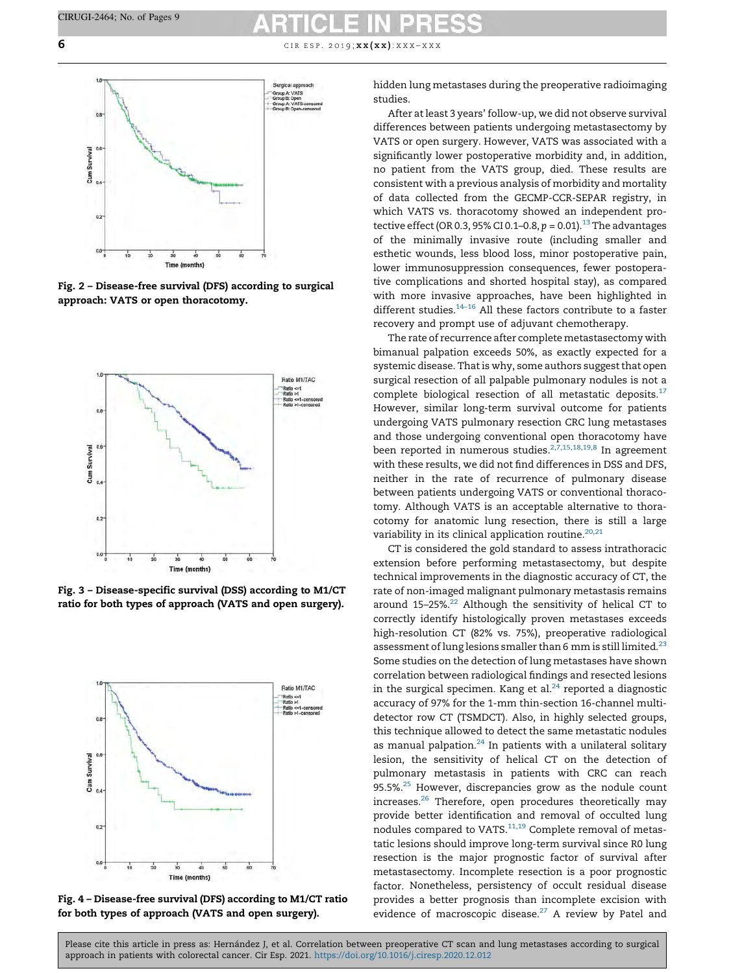<span id="page-5-0"></span>6 c i r e s p . 2019;  $x \times (xx)$ :  $x \times x - x \times x$ 



Fig. 2 – Disease-free survival (DFS) according to surgical approach: VATS or open thoracotomy.



Fig. 3 – Disease-specific survival (DSS) according to M1/CT ratio for both types of approach (VATS and open surgery).



Fig. 4 – Disease-free survival (DFS) according to M1/CT ratio for both types of approach (VATS and open surgery).

hidden lung metastases during the preoperative radioimaging studies.

After at least 3 years' follow-up, we did not observe survival differences between patients undergoing metastasectomy by VATS or open surgery. However, VATS was associated with a significantly lower postoperative morbidity and, in addition, no patient from the VATS group, died. These results are consistent with a previous analysis of morbidity and mortality of data collected from the GECMP-CCR-SEPAR registry, in which VATS vs. thoracotomy showed an independent protective effect (OR 0.3, 95% CI 0.1–0.8,  $p = 0.01$ ).<sup>[13](#page-7-0)</sup> The advantages of the minimally invasive route (including smaller and esthetic wounds, less blood loss, minor postoperative pain, lower immunosuppression consequences, fewer postoperative complications and shorted hospital stay), as compared with more invasive approaches, have been highlighted in different studies.<sup>[14–16](#page-7-0)</sup> All these factors contribute to a faster recovery and prompt use of adjuvant chemotherapy.

The rate of recurrence after complete metastasectomy with bimanual palpation exceeds 50%, as exactly expected for a systemic disease. That is why, some authors suggest that open surgical resection of all palpable pulmonary nodules is not a complete biological resection of all metastatic deposits.[17](#page-7-0) However, similar long-term survival outcome for patients undergoing VATS pulmonary resection CRC lung metastases and those undergoing conventional open thoracotomy have been reported in numerous studies.<sup>2,7,15,18,19,8</sup> In agreement with these results, we did not find differences in DSS and DFS, neither in the rate of recurrence of pulmonary disease between patients undergoing VATS or conventional thoracotomy. Although VATS is an acceptable alternative to thoracotomy for anatomic lung resection, there is still a large variability in its clinical application routine.<sup>[20,21](#page-8-0)</sup>

CT is considered the gold standard to assess intrathoracic extension before performing metastasectomy, but despite technical improvements in the diagnostic accuracy of CT, the rate of non-imaged malignant pulmonary metastasis remains around 15-25%. $22$  Although the sensitivity of helical CT to correctly identify histologically proven metastases exceeds high-resolution CT (82% vs. 75%), preoperative radiological assessment of lung lesions smaller than 6 mm is still limited. $^{23}$  $^{23}$  $^{23}$ Some studies on the detection of lung metastases have shown correlation between radiological findings and resected lesions in the surgical specimen. Kang et al. $^{24}$  $^{24}$  $^{24}$  reported a diagnostic accuracy of 97% for the 1-mm thin-section 16-channel multidetector row CT (TSMDCT). Also, in highly selected groups, this technique allowed to detect the same metastatic nodules as manual palpation. $24$  In patients with a unilateral solitary lesion, the sensitivity of helical CT on the detection of pulmonary metastasis in patients with CRC can reach 95.5%.<sup>[25](#page-8-0)</sup> However, discrepancies grow as the nodule count increases[.26](#page-8-0) Therefore, open procedures theoretically may provide better identification and removal of occulted lung nodules compared to VATS.<sup>[11,19](#page-7-0)</sup> Complete removal of metastatic lesions should improve long-term survival since R0 lung resection is the major prognostic factor of survival after metastasectomy. Incomplete resection is a poor prognostic factor. Nonetheless, persistency of occult residual disease provides a better prognosis than incomplete excision with evidence of macroscopic disease.<sup>[27](#page-8-0)</sup> A review by Patel and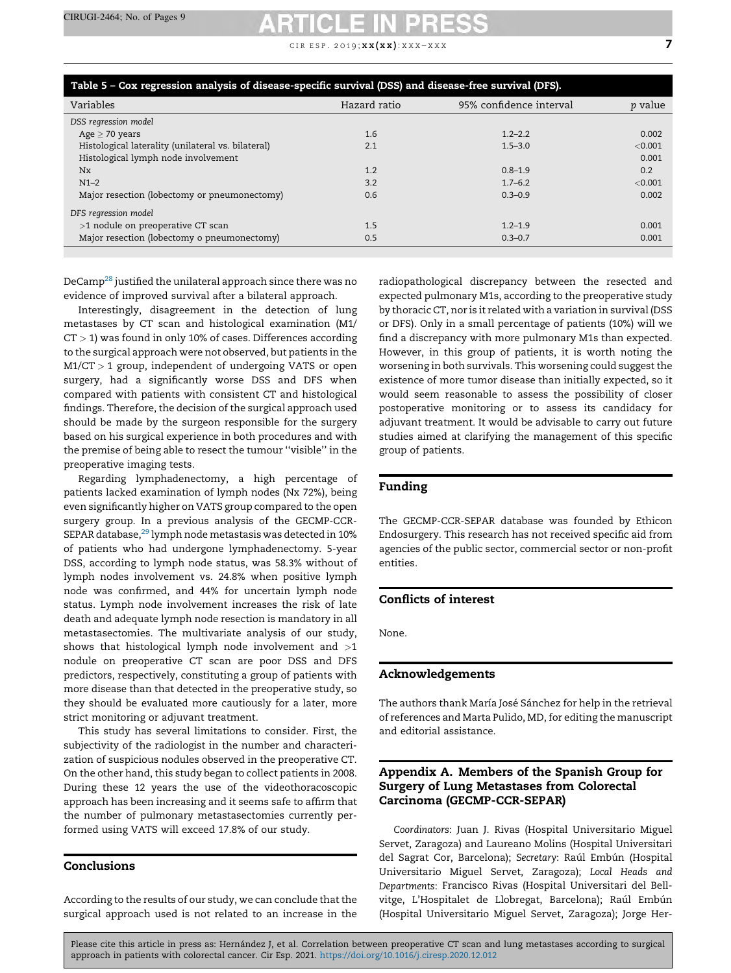CIR ESP. 2019;  $\mathbf{x} \mathbf{x} (\mathbf{x} \mathbf{x})$ :  $\mathbf{x} \mathbf{x} \mathbf{x} - \mathbf{x} \mathbf{x} \mathbf{x}$  7

<span id="page-6-0"></span>

| <i>p</i> value |
|----------------|
|                |
|                |
| 0.002          |
| < 0.001        |
| 0.001          |
| 0.2            |
| < 0.001        |
| 0.002          |
|                |
| 0.001          |
| 0.001          |
|                |

DeCam[p28](#page-8-0) justified the unilateral approach since there was no evidence of improved survival after a bilateral approach.

Interestingly, disagreement in the detection of lung metastases by CT scan and histological examination (M1/  $CT > 1$ ) was found in only 10% of cases. Differences according to the surgical approach were not observed, but patients in the M1/CT > 1 group, independent of undergoing VATS or open surgery, had a significantly worse DSS and DFS when compared with patients with consistent CT and histological findings. Therefore, the decision of the surgical approach used should be made by the surgeon responsible for the surgery based on his surgical experience in both procedures and with the premise of being able to resect the tumour ''visible'' in the preoperative imaging tests.

Regarding lymphadenectomy, a high percentage of patients lacked examination of lymph nodes (Nx 72%), being even significantly higher on VATS group compared to the open surgery group. In a previous analysis of the GECMP-CCR-SEPAR database, $^{29}$  lymph node metastasis was detected in 10% of patients who had undergone lymphadenectomy. 5-year DSS, according to lymph node status, was 58.3% without of lymph nodes involvement vs. 24.8% when positive lymph node was confirmed, and 44% for uncertain lymph node status. Lymph node involvement increases the risk of late death and adequate lymph node resection is mandatory in all metastasectomies. The multivariate analysis of our study, shows that histological lymph node involvement and  $>1$ nodule on preoperative CT scan are poor DSS and DFS predictors, respectively, constituting a group of patients with more disease than that detected in the preoperative study, so they should be evaluated more cautiously for a later, more strict monitoring or adjuvant treatment.

This study has several limitations to consider. First, the subjectivity of the radiologist in the number and characterization of suspicious nodules observed in the preoperative CT. On the other hand, this study began to collect patients in 2008. During these 12 years the use of the videothoracoscopic approach has been increasing and it seems safe to affirm that the number of pulmonary metastasectomies currently performed using VATS will exceed 17.8% of our study.

## Conclusions

According to the results of our study, we can conclude that the surgical approach used is not related to an increase in the

radiopathological discrepancy between the resected and expected pulmonary M1s, according to the preoperative study by thoracic CT, nor is it related with a variation in survival (DSS or DFS). Only in a small percentage of patients (10%) will we find a discrepancy with more pulmonary M1s than expected. However, in this group of patients, it is worth noting the worsening in both survivals. This worsening could suggest the existence of more tumor disease than initially expected, so it would seem reasonable to assess the possibility of closer postoperative monitoring or to assess its candidacy for adjuvant treatment. It would be advisable to carry out future studies aimed at clarifying the management of this specific group of patients.

### Funding

The GECMP-CCR-SEPAR database was founded by Ethicon Endosurgery. This research has not received specific aid from agencies of the public sector, commercial sector or non-profit entities.

# Conflicts of interest

None.

# Acknowledgements

The authors thank María José Sánchez for help in the retrieval of references and Marta Pulido, MD, for editing the manuscript and editorial assistance.

# Appendix A. Members of the Spanish Group for Surgery of Lung Metastases from Colorectal Carcinoma (GECMP-CCR-SEPAR)

Coordinators: Juan J. Rivas (Hospital Universitario Miguel Servet, Zaragoza) and Laureano Molins (Hospital Universitari del Sagrat Cor, Barcelona); Secretary: Raúl Embún (Hospital Universitario Miguel Servet, Zaragoza); Local Heads and Departments: Francisco Rivas (Hospital Universitari del Bellvitge, L'Hospitalet de Llobregat, Barcelona); Raúl Embún (Hospital Universitario Miguel Servet, Zaragoza); Jorge Her-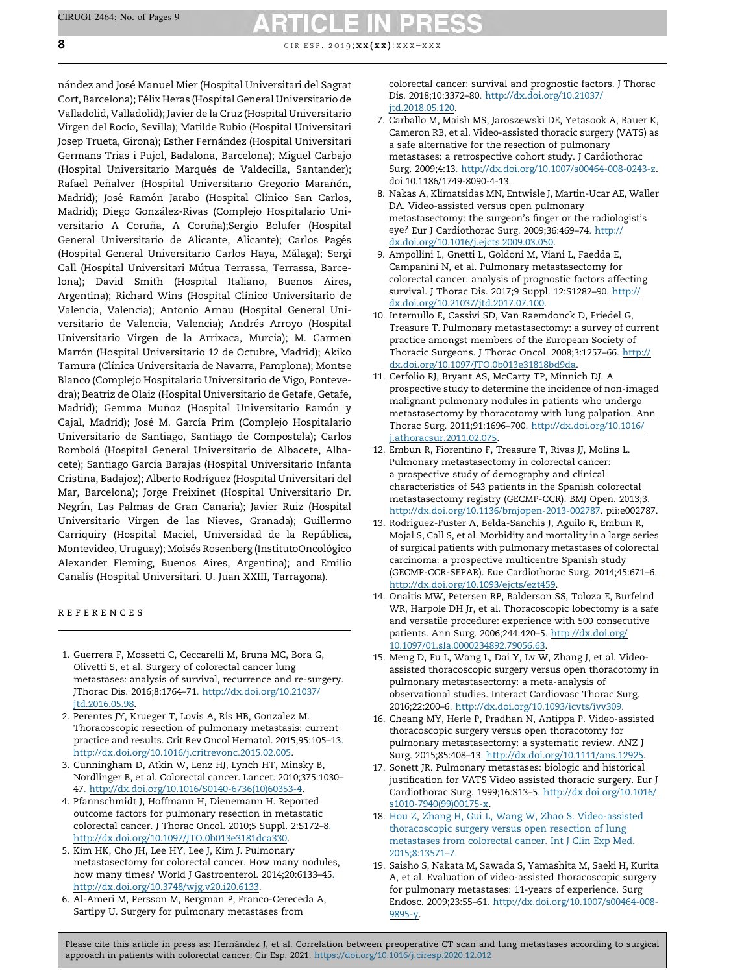<span id="page-7-0"></span>8 c i r e s p . 2019;  $x \times (xx)$ :  $x \times x - x \times x$ 

nández and José Manuel Mier (Hospital Universitari del Sagrat Cort, Barcelona); Félix Heras (Hospital General Universitario de Valladolid, Valladolid); Javier de la Cruz (Hospital Universitario Virgen del Rocío, Sevilla); Matilde Rubio (Hospital Universitari Josep Trueta, Girona); Esther Fernández (Hospital Universitari Germans Trias i Pujol, Badalona, Barcelona); Miguel Carbajo (Hospital Universitario Marqués de Valdecilla, Santander); Rafael Peñalver (Hospital Universitario Gregorio Marañón, Madrid); José Ramón Jarabo (Hospital Clínico San Carlos, Madrid); Diego González-Rivas (Complejo Hospitalario Universitario A Coruña, A Coruña);Sergio Bolufer (Hospital General Universitario de Alicante, Alicante); Carlos Pagés (Hospital General Universitario Carlos Haya, Málaga); Sergi Call (Hospital Universitari Mútua Terrassa, Terrassa, Barcelona); David Smith (Hospital Italiano, Buenos Aires, Argentina); Richard Wins (Hospital Clínico Universitario de Valencia, Valencia); Antonio Arnau (Hospital General Universitario de Valencia, Valencia); Andrés Arroyo (Hospital Universitario Virgen de la Arrixaca, Murcia); M. Carmen Marrón (Hospital Universitario 12 de Octubre, Madrid); Akiko Tamura (Clínica Universitaria de Navarra, Pamplona); Montse Blanco (Complejo Hospitalario Universitario de Vigo, Pontevedra); Beatriz de Olaiz (Hospital Universitario de Getafe, Getafe, Madrid); Gemma Muñoz (Hospital Universitario Ramón y Cajal, Madrid); José M. García Prim (Complejo Hospitalario Universitario de Santiago, Santiago de Compostela); Carlos Rombola´ (Hospital General Universitario de Albacete, Albacete); Santiago García Barajas (Hospital Universitario Infanta Cristina, Badajoz); Alberto Rodrı´guez (Hospital Universitari del Mar, Barcelona); Jorge Freixinet (Hospital Universitario Dr. Negrín, Las Palmas de Gran Canaria); Javier Ruiz (Hospital Universitario Virgen de las Nieves, Granada); Guillermo Carriquiry (Hospital Maciel, Universidad de la República, Montevideo, Uruguay); Moisés Rosenberg (InstitutoOncológico Alexander Fleming, Buenos Aires, Argentina); and Emilio Canalís (Hospital Universitari. U. Juan XXIII, Tarragona).

## r e f e r e n c e s

- 1. Guerrera F, Mossetti C, Ceccarelli M, Bruna MC, Bora G, Olivetti S, et al. Surgery of colorectal cancer lung metastases: analysis of survival, recurrence and re-surgery. JThorac Dis. 2016;8:1764–7[1.](http://dx.doi.org/10.21037/jtd.2016.05.98) [http://dx.doi.org/10.21037/](http://dx.doi.org/10.21037/jtd.2016.05.98) [jtd.2016.05.98](http://dx.doi.org/10.21037/jtd.2016.05.98).
- 2. Perentes JY, Krueger T, Lovis A, Ris HB, Gonzalez M. Thoracoscopic resection of pulmonary metastasis: current practice and results. Crit Rev Oncol Hematol. 2015;95:105–13[.](http://dx.doi.org/10.1016/j.critrevonc.2015.02.005) <http://dx.doi.org/10.1016/j.critrevonc.2015.02.005>.
- 3. Cunningham D, Atkin W, Lenz HJ, Lynch HT, Minsky B, Nordlinger B, et al. Colorectal cancer. Lancet. 2010;375:1030– 4[7.](http://dx.doi.org/10.1016/S0140-6736(10)60353-4) [http://dx.doi.org/10.1016/S0140-6736\(10\)60353-4](http://dx.doi.org/10.1016/S0140-6736(10)60353-4).
- 4. Pfannschmidt J, Hoffmann H, Dienemann H. Reported outcome factors for pulmonary resection in metastatic colorectal cancer. J Thorac Oncol. 2010;5 Suppl. 2:S172–8[.](http://dx.doi.org/10.1097/JTO.0b013e3181dca330) <http://dx.doi.org/10.1097/JTO.0b013e3181dca330>.
- 5. Kim HK, Cho JH, Lee HY, Lee J, Kim J. Pulmonary metastasectomy for colorectal cancer. How many nodules, how many times? World J Gastroenterol. 2014;20:6133–45[.](http://dx.doi.org/10.3748/wjg.v20.i20.6133) <http://dx.doi.org/10.3748/wjg.v20.i20.6133>.
- 6. Al-Ameri M, Persson M, Bergman P, Franco-Cereceda A, Sartipy U. Surgery for pulmonary metastases from

colorectal cancer: survival and prognostic factors. J Thorac Dis. 2018;10:3372–80[.](http://dx.doi.org/10.21037/jtd.2018.05.120) [http://dx.doi.org/10.21037/](http://dx.doi.org/10.21037/jtd.2018.05.120) itd.2018.05.120

- 7. Carballo M, Maish MS, Jaroszewski DE, Yetasook A, Bauer K, Cameron RB, et al. Video-assisted thoracic surgery (VATS) as a safe alternative for the resection of pulmonary metastases: a retrospective cohort study. J Cardiothorac Surg. 2009;4:1[3.](http://dx.doi.org/10.1007/s00464-008-0243-z) [http://dx.doi.org/10.1007/s00464-008-0243-z.](http://dx.doi.org/10.1007/s00464-008-0243-z) doi:10.1186/1749-8090-4-13.
- 8. Nakas A, Klimatsidas MN, Entwisle J, Martin-Ucar AE, Waller DA. Video-assisted versus open pulmonary metastasectomy: the surgeon's finger or the radiologist's eye? Eur J Cardiothorac Surg. 2009;36:469–7[4.](http://dx.doi.org/10.1016/j.ejcts.2009.03.050) [http://](http://dx.doi.org/10.1016/j.ejcts.2009.03.050) [dx.doi.org/10.1016/j.ejcts.2009.03.050.](http://dx.doi.org/10.1016/j.ejcts.2009.03.050)
- 9. Ampollini L, Gnetti L, Goldoni M, Viani L, Faedda E, Campanini N, et al. Pulmonary metastasectomy for colorectal cancer: analysis of prognostic factors affecting survival. J Thorac Dis. 2017;9 Suppl. 12:S1282–9[0.](http://dx.doi.org/10.21037/jtd.2017.07.100) [http://](http://dx.doi.org/10.21037/jtd.2017.07.100) [dx.doi.org/10.21037/jtd.2017.07.100.](http://dx.doi.org/10.21037/jtd.2017.07.100)
- 10. Internullo E, Cassivi SD, Van Raemdonck D, Friedel G, Treasure T. Pulmonary metastasectomy: a survey of current practice amongst members of the European Society of Thoracic Surgeons. J Thorac Oncol. 2008;3:1257–66[.](http://dx.doi.org/10.1097/JTO.0b013e31818bd9da) [http://](http://dx.doi.org/10.1097/JTO.0b013e31818bd9da) [dx.doi.org/10.1097/JTO.0b013e31818bd9da](http://dx.doi.org/10.1097/JTO.0b013e31818bd9da).
- 11. Cerfolio RJ, Bryant AS, McCarty TP, Minnich DJ. A prospective study to determine the incidence of non-imaged malignant pulmonary nodules in patients who undergo metastasectomy by thoracotomy with lung palpation. Ann Thorac Surg. 2011;91:1696–70[0.](http://dx.doi.org/10.1016/j.athoracsur.2011.02.075) [http://dx.doi.org/10.1016/](http://dx.doi.org/10.1016/j.athoracsur.2011.02.075) [j.athoracsur.2011.02.075](http://dx.doi.org/10.1016/j.athoracsur.2011.02.075).
- 12. Embun R, Fiorentino F, Treasure T, Rivas JJ, Molins L. Pulmonary metastasectomy in colorectal cancer: a prospective study of demography and clinical characteristics of 543 patients in the Spanish colorectal metastasectomy registry (GECMP-CCR). BMJ Open. 2013;[3.](http://dx.doi.org/10.1136/bmjopen-2013-002787) <http://dx.doi.org/10.1136/bmjopen-2013-002787>. pii:e002787.
- 13. Rodriguez-Fuster A, Belda-Sanchis J, Aguilo R, Embun R, Mojal S, Call S, et al. Morbidity and mortality in a large series of surgical patients with pulmonary metastases of colorectal carcinoma: a prospective multicentre Spanish study (GECMP-CCR-SEPAR). Eue Cardiothorac Surg. 2014;45:671–6[.](http://dx.doi.org/10.1093/ejcts/ezt459) [http://dx.doi.org/10.1093/ejcts/ezt459.](http://dx.doi.org/10.1093/ejcts/ezt459)
- 14. Onaitis MW, Petersen RP, Balderson SS, Toloza E, Burfeind WR, Harpole DH Jr, et al. Thoracoscopic lobectomy is a safe and versatile procedure: experience with 500 consecutive patients. Ann Surg. 2006;244:420–[5.](http://dx.doi.org/10.1097/01.sla.0000234892.79056.63) [http://dx.doi.org/](http://dx.doi.org/10.1097/01.sla.0000234892.79056.63) [10.1097/01.sla.0000234892.79056.63](http://dx.doi.org/10.1097/01.sla.0000234892.79056.63).
- 15. Meng D, Fu L, Wang L, Dai Y, Lv W, Zhang J, et al. Videoassisted thoracoscopic surgery versus open thoracotomy in pulmonary metastasectomy: a meta-analysis of observational studies. Interact Cardiovasc Thorac Surg. 2016;22:200–6[.](http://dx.doi.org/10.1093/icvts/ivv309) [http://dx.doi.org/10.1093/icvts/ivv309.](http://dx.doi.org/10.1093/icvts/ivv309)
- 16. Cheang MY, Herle P, Pradhan N, Antippa P. Video-assisted thoracoscopic surgery versus open thoracotomy for pulmonary metastasectomy: a systematic review. ANZ J Surg. 2015;85:408–13[.](http://dx.doi.org/10.1111/ans.12925) <http://dx.doi.org/10.1111/ans.12925>.
- 17. Sonett JR. Pulmonary metastases: biologic and historical justification for VATS Video assisted thoracic surgery. Eur J Cardiothorac Surg. 1999;16:S13–[5.](http://dx.doi.org/10.1016/s1010-7940(99)00175-x) [http://dx.doi.org/10.1016/](http://dx.doi.org/10.1016/s1010-7940(99)00175-x) [s1010-7940\(99\)00175-x](http://dx.doi.org/10.1016/s1010-7940(99)00175-x).
- 18. Hou Z, Zhang H, Gui L, Wang W, Zhao S. [Video-assisted](http://refhub.elsevier.com/S0009-739X(20)30426-7/sbref0235) [thoracoscopic](http://refhub.elsevier.com/S0009-739X(20)30426-7/sbref0235) surgery versus open resection of lung [metastases](http://refhub.elsevier.com/S0009-739X(20)30426-7/sbref0235) from colorectal cancer. Int J Clin Exp Med. [2015;8:13571–7.](http://refhub.elsevier.com/S0009-739X(20)30426-7/sbref0235)
- 19. Saisho S, Nakata M, Sawada S, Yamashita M, Saeki H, Kurita A, et al. Evaluation of video-assisted thoracoscopic surgery for pulmonary metastases: 11-years of experience. Surg Endosc. 2009;23:55–6[1.](http://dx.doi.org/10.1007/s00464-008-9895-y) [http://dx.doi.org/10.1007/s00464-008-](http://dx.doi.org/10.1007/s00464-008-9895-y) [9895-y](http://dx.doi.org/10.1007/s00464-008-9895-y).